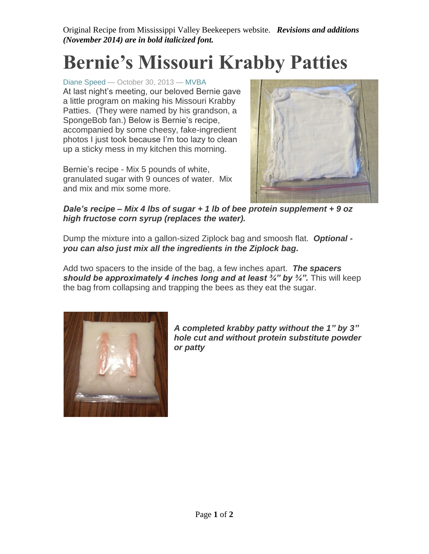Original Recipe from Mississippi Valley Beekeepers website. *Revisions and additions (November 2014) are in bold italicized font.*

## **Bernie's Missouri Krabby Patties**

[Diane Speed](http://mvbees.com/author/diane/) — October 30, 2013 — [MVBA](http://mvbees.com/2013/10/bernies-missouri-krabby-patties/#comments) At last night's meeting, our beloved Bernie gave a little program on making his Missouri Krabby Patties. (They were named by his grandson, a SpongeBob fan.) Below is Bernie's recipe, accompanied by some cheesy, fake-ingredient photos I just took because I'm too lazy to clean up a sticky mess in my kitchen this morning.

Bernie's recipe - Mix 5 pounds of white, granulated sugar with 9 ounces of water. Mix and mix and mix some more.



*Dale's recipe – Mix 4 lbs of sugar + 1 lb of bee protein supplement + 9 oz high fructose corn syrup (replaces the water).*

Dump the mixture into a gallon-sized Ziplock bag and smoosh flat. *Optional you can also just mix all the ingredients in the Ziplock bag.*

Add two spacers to the inside of the bag, a few inches apart. *The spacers should be approximately 4 inches long and at least ¾" by ¾".* This will keep the bag from collapsing and trapping the bees as they eat the sugar.



*A completed krabby patty without the 1" by 3" hole cut and without protein substitute powder or patty*